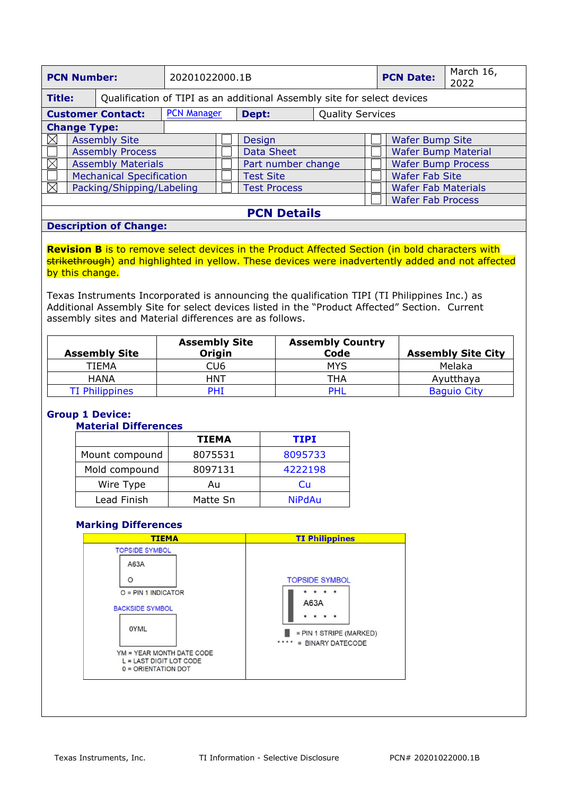| <b>PCN Number:</b>                                                                       |                         |                                                        | 20201022000.1B     |                     |                           |                            | <b>PCN Date:</b>         | March 16,<br>2022 |
|------------------------------------------------------------------------------------------|-------------------------|--------------------------------------------------------|--------------------|---------------------|---------------------------|----------------------------|--------------------------|-------------------|
| <b>Title:</b><br>Qualification of TIPI as an additional Assembly site for select devices |                         |                                                        |                    |                     |                           |                            |                          |                   |
| <b>Customer Contact:</b>                                                                 |                         | <b>PCN Manager</b><br><b>Quality Services</b><br>Dept: |                    |                     |                           |                            |                          |                   |
| <b>Change Type:</b>                                                                      |                         |                                                        |                    |                     |                           |                            |                          |                   |
| $\mathbb{X}$                                                                             | <b>Assembly Site</b>    |                                                        |                    |                     | Design                    |                            | <b>Wafer Bump Site</b>   |                   |
|                                                                                          | <b>Assembly Process</b> |                                                        |                    | Data Sheet          |                           | <b>Wafer Bump Material</b> |                          |                   |
| IX<br><b>Assembly Materials</b>                                                          |                         |                                                        | Part number change |                     | <b>Wafer Bump Process</b> |                            |                          |                   |
| <b>Mechanical Specification</b>                                                          |                         |                                                        | <b>Test Site</b>   |                     | <b>Wafer Fab Site</b>     |                            |                          |                   |
| Packing/Shipping/Labeling                                                                |                         |                                                        |                    | <b>Test Process</b> |                           | <b>Wafer Fab Materials</b> |                          |                   |
|                                                                                          |                         |                                                        |                    |                     |                           |                            | <b>Wafer Fab Process</b> |                   |

### **PCN Details**

#### **Description of Change:**

**Revision B** is to remove select devices in the Product Affected Section (in bold characters with strikethrough) and highlighted in yellow. These devices were inadvertently added and not affected by this change.

Texas Instruments Incorporated is announcing the qualification TIPI (TI Philippines Inc.) as Additional Assembly Site for select devices listed in the "Product Affected" Section. Current assembly sites and Material differences are as follows.

| <b>Assembly Site</b>  | <b>Assembly Site</b><br>Origin | <b>Assembly Country</b><br>Code | <b>Assembly Site City</b> |
|-----------------------|--------------------------------|---------------------------------|---------------------------|
| TIEMA                 | CU6                            | MYS                             | Melaka                    |
| <b>HANA</b>           | <b>HNT</b>                     | THA                             | Ayutthaya                 |
| <b>TI Philippines</b> | <b>PHT</b>                     | <b>PHI</b>                      | <b>Baguio City</b>        |

# **Group 1 Device:**

### **Material Differences**

|                | <b>TIEMA</b> | TIPI          |
|----------------|--------------|---------------|
| Mount compound | 8075531      | 8095733       |
| Mold compound  | 8097131      | 4222198       |
| Wire Type      | Au           | Cп            |
| Lead Finish    | Matte Sn     | <b>NiPdAu</b> |

### **Marking Differences**

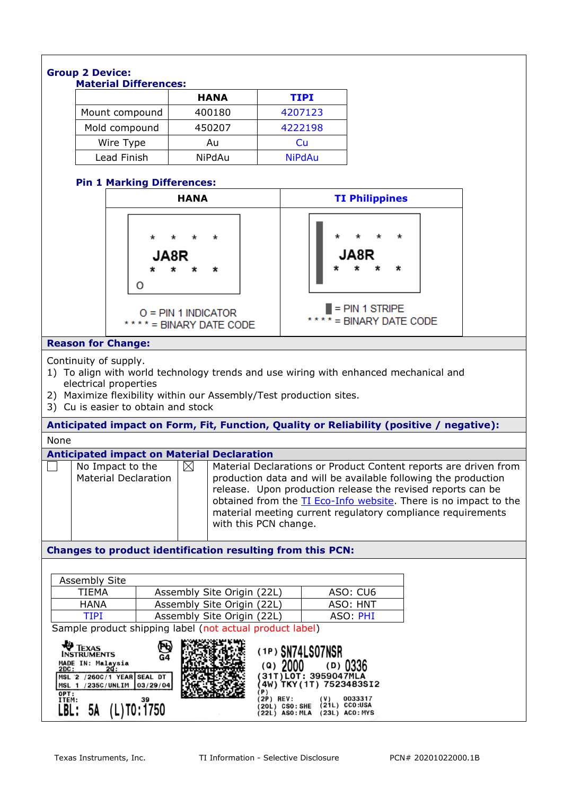|                                                                                                                                                                                                                                                                                                                                                                                                                                                                      | <b>Group 2 Device:</b>                                                                                                                                                                                                                                                                                                                                                                                                                                                               |  |                            |             |  |                                             |  |  |
|----------------------------------------------------------------------------------------------------------------------------------------------------------------------------------------------------------------------------------------------------------------------------------------------------------------------------------------------------------------------------------------------------------------------------------------------------------------------|--------------------------------------------------------------------------------------------------------------------------------------------------------------------------------------------------------------------------------------------------------------------------------------------------------------------------------------------------------------------------------------------------------------------------------------------------------------------------------------|--|----------------------------|-------------|--|---------------------------------------------|--|--|
|                                                                                                                                                                                                                                                                                                                                                                                                                                                                      | <b>Material Differences:</b>                                                                                                                                                                                                                                                                                                                                                                                                                                                         |  | <b>HANA</b>                | <b>TIPI</b> |  |                                             |  |  |
|                                                                                                                                                                                                                                                                                                                                                                                                                                                                      | Mount compound                                                                                                                                                                                                                                                                                                                                                                                                                                                                       |  | 400180                     | 4207123     |  |                                             |  |  |
|                                                                                                                                                                                                                                                                                                                                                                                                                                                                      |                                                                                                                                                                                                                                                                                                                                                                                                                                                                                      |  |                            |             |  |                                             |  |  |
|                                                                                                                                                                                                                                                                                                                                                                                                                                                                      | Mold compound                                                                                                                                                                                                                                                                                                                                                                                                                                                                        |  | 450207                     | 4222198     |  |                                             |  |  |
|                                                                                                                                                                                                                                                                                                                                                                                                                                                                      | Wire Type                                                                                                                                                                                                                                                                                                                                                                                                                                                                            |  | Au                         | Cu          |  |                                             |  |  |
|                                                                                                                                                                                                                                                                                                                                                                                                                                                                      | Lead Finish<br><b>NiPdAu</b><br><b>NiPdAu</b>                                                                                                                                                                                                                                                                                                                                                                                                                                        |  |                            |             |  |                                             |  |  |
|                                                                                                                                                                                                                                                                                                                                                                                                                                                                      | <b>Pin 1 Marking Differences:</b>                                                                                                                                                                                                                                                                                                                                                                                                                                                    |  |                            |             |  |                                             |  |  |
|                                                                                                                                                                                                                                                                                                                                                                                                                                                                      | <b>HANA</b>                                                                                                                                                                                                                                                                                                                                                                                                                                                                          |  |                            |             |  | <b>TI Philippines</b>                       |  |  |
| JA8R<br>0<br>$O = PIN 1 INDICATOR$                                                                                                                                                                                                                                                                                                                                                                                                                                   |                                                                                                                                                                                                                                                                                                                                                                                                                                                                                      |  |                            |             |  | $= PIN 1 STRIPE$<br>**** = BINARY DATE CODE |  |  |
|                                                                                                                                                                                                                                                                                                                                                                                                                                                                      |                                                                                                                                                                                                                                                                                                                                                                                                                                                                                      |  | **** = BINARY DATE CODE    |             |  |                                             |  |  |
| <b>Reason for Change:</b>                                                                                                                                                                                                                                                                                                                                                                                                                                            |                                                                                                                                                                                                                                                                                                                                                                                                                                                                                      |  |                            |             |  |                                             |  |  |
|                                                                                                                                                                                                                                                                                                                                                                                                                                                                      | Continuity of supply.<br>1) To align with world technology trends and use wiring with enhanced mechanical and<br>electrical properties<br>2) Maximize flexibility within our Assembly/Test production sites.<br>3) Cu is easier to obtain and stock                                                                                                                                                                                                                                  |  |                            |             |  |                                             |  |  |
|                                                                                                                                                                                                                                                                                                                                                                                                                                                                      | Anticipated impact on Form, Fit, Function, Quality or Reliability (positive / negative):                                                                                                                                                                                                                                                                                                                                                                                             |  |                            |             |  |                                             |  |  |
| None                                                                                                                                                                                                                                                                                                                                                                                                                                                                 |                                                                                                                                                                                                                                                                                                                                                                                                                                                                                      |  |                            |             |  |                                             |  |  |
|                                                                                                                                                                                                                                                                                                                                                                                                                                                                      | <b>Anticipated impact on Material Declaration</b><br>$\boxtimes$<br>No Impact to the<br>Material Declarations or Product Content reports are driven from<br><b>Material Declaration</b><br>production data and will be available following the production<br>release. Upon production release the revised reports can be<br>obtained from the TI Eco-Info website. There is no impact to the<br>material meeting current regulatory compliance requirements<br>with this PCN change. |  |                            |             |  |                                             |  |  |
|                                                                                                                                                                                                                                                                                                                                                                                                                                                                      | Changes to product identification resulting from this PCN:                                                                                                                                                                                                                                                                                                                                                                                                                           |  |                            |             |  |                                             |  |  |
|                                                                                                                                                                                                                                                                                                                                                                                                                                                                      |                                                                                                                                                                                                                                                                                                                                                                                                                                                                                      |  |                            |             |  |                                             |  |  |
| <b>Assembly Site</b>                                                                                                                                                                                                                                                                                                                                                                                                                                                 |                                                                                                                                                                                                                                                                                                                                                                                                                                                                                      |  |                            |             |  |                                             |  |  |
| <b>TIEMA</b>                                                                                                                                                                                                                                                                                                                                                                                                                                                         |                                                                                                                                                                                                                                                                                                                                                                                                                                                                                      |  | Assembly Site Origin (22L) |             |  | ASO: CU6                                    |  |  |
| <b>HANA</b>                                                                                                                                                                                                                                                                                                                                                                                                                                                          |                                                                                                                                                                                                                                                                                                                                                                                                                                                                                      |  | Assembly Site Origin (22L) |             |  | ASO: HNT                                    |  |  |
| <b>TIPI</b><br>Assembly Site Origin (22L)<br>ASO: PHI                                                                                                                                                                                                                                                                                                                                                                                                                |                                                                                                                                                                                                                                                                                                                                                                                                                                                                                      |  |                            |             |  |                                             |  |  |
| Sample product shipping label (not actual product label)<br><b>FEXAS</b><br>Νф<br>(1P) SN74LS07NSR<br><b>INSTRUMENTS</b><br>G4<br>MADE IN: Malaysia<br>(a) 2000<br>$(D)$ 0336<br>2DC:<br>31T) LOT: 3959047MLA<br>MSL 2 /260C/1 YEAR SEAL DT<br>4W) TKY (1T) 7523483SI2<br>MSL 1 /235C/UNLIM<br>03/29/04<br>P)<br>OPT:<br><b>2P) REV:</b><br>0033317<br>ITEM:<br>39<br>$(21L)$ CCO:USA<br>20L) CSO: SHE<br>$(L)$ TO: 1750<br>LBL: 5A<br>(22L) ASO: MLA (23L) ACO: MYS |                                                                                                                                                                                                                                                                                                                                                                                                                                                                                      |  |                            |             |  |                                             |  |  |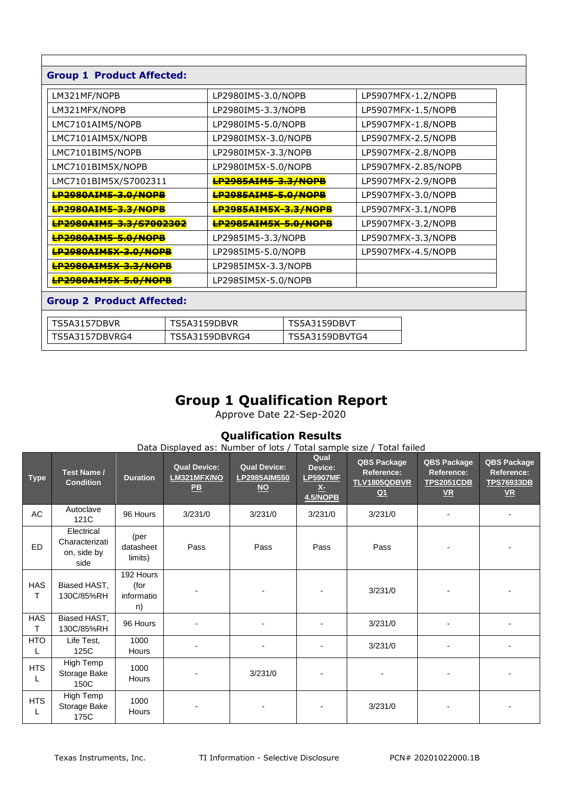| <b>Group 1 Product Affected:</b>           |                             |                                  |                    |                    |                     |  |
|--------------------------------------------|-----------------------------|----------------------------------|--------------------|--------------------|---------------------|--|
| LM321MF/NOPB                               |                             | LP2980IM5-3.0/NOPB               |                    |                    | LP5907MFX-1.2/NOPB  |  |
| LM321MFX/NOPB                              |                             | LP2980IM5-3.3/NOPB               |                    |                    | LP5907MFX-1.5/NOPB  |  |
| LMC7101AIM5/NOPB                           |                             | LP2980IM5-5.0/NOPB               |                    |                    | LP5907MFX-1.8/NOPB  |  |
| LMC7101AIM5X/NOPB                          |                             | LP2980IM5X-3.0/NOPB              |                    |                    | LP5907MFX-2.5/NOPB  |  |
| LMC7101BIM5/NOPB                           |                             | LP2980IM5X-3.3/NOPB              |                    |                    | LP5907MFX-2.8/NOPB  |  |
| LMC7101BIM5X/NOPB                          |                             | LP2980IM5X-5.0/NOPB              |                    |                    | LP5907MFX-2.85/NOPB |  |
| LMC7101BIM5X/S7002311                      |                             | <b>LP2985AIM5-3.3/NOPB</b>       |                    | LP5907MFX-2.9/NOPB |                     |  |
| <b>LP2980AIM5-3.0/NOPB</b>                 |                             | <b>LP2985AIM5-5.0/NOPB</b>       |                    | LP5907MFX-3.0/NOPB |                     |  |
| <b>LP2980AIM5-3.3/NOPB</b>                 |                             | <b>LP2985AIM5X-3.3/NOPB</b>      |                    | LP5907MFX-3.1/NOPB |                     |  |
| <del>LP2980AIM5-3.3/S7002302</del>         |                             | <b>LP2985AIM5X-5.0/NOPB</b>      |                    |                    | LP5907MFX-3.2/NOPB  |  |
| <b>LP2980AIM5-5.0/NOPB</b>                 |                             | LP2985IM5-3.3/NOPB               |                    |                    | LP5907MFX-3.3/NOPB  |  |
|                                            | <b>LP2980AIM5X-3.0/NOPB</b> |                                  | LP2985IM5-5.0/NOPB |                    | LP5907MFX-4.5/NOPB  |  |
| <b>LP2980AIM5X-3.3/NOPB</b>                |                             | LP2985IM5X-3.3/NOPB              |                    |                    |                     |  |
| <b>LP2980AIM5X-5.0/NOPB</b>                |                             | LP2985IM5X-5.0/NOPB              |                    |                    |                     |  |
| <b>Group 2 Product Affected:</b>           |                             |                                  |                    |                    |                     |  |
| <b>TS5A3157DBVR</b><br><b>TS5A3159DBVR</b> |                             | <b>TS5A3159DBVT</b>              |                    |                    |                     |  |
| TS5A3157DBVRG4                             |                             | TS5A3159DBVRG4<br>TS5A3159DBVTG4 |                    |                    |                     |  |

### **Group 1 Qualification Report**

Approve Date 22-Sep-2020

### **Qualification Results**

Data Displayed as: Number of lots / Total sample size / Total failed

| <b>Type</b>     | Test Name /<br><b>Condition</b>                     | <b>Duration</b>                       | <b>Qual Device:</b><br>LM321MFX/NO<br>$P$ $B$ | <b>Qual Device:</b><br>LP2985AIM550<br>$\underline{\mathsf{NO}}$ | Qual<br>Device:<br><b>LP5907MF</b><br><u>X-</u><br><b>4.5/NOPB</b> | <b>QBS Package</b><br>Reference:<br>TLV1805QDBVR<br>$Q_1$ | <b>QBS Package</b><br>Reference:<br><b>TPS2051CDB</b><br>$VR$ | <b>QBS Package</b><br>Reference:<br><b>TPS76933DB</b><br>$VR$ |
|-----------------|-----------------------------------------------------|---------------------------------------|-----------------------------------------------|------------------------------------------------------------------|--------------------------------------------------------------------|-----------------------------------------------------------|---------------------------------------------------------------|---------------------------------------------------------------|
| AC              | Autoclave<br>121C                                   | 96 Hours                              | 3/231/0                                       | 3/231/0                                                          | 3/231/0                                                            | 3/231/0                                                   |                                                               |                                                               |
| ED.             | Electrical<br>Characterizati<br>on, side by<br>side | (per<br>datasheet<br>limits)          | Pass                                          | Pass                                                             | Pass                                                               | Pass                                                      |                                                               |                                                               |
| <b>HAS</b><br>т | Biased HAST,<br>130C/85%RH                          | 192 Hours<br>(for<br>informatio<br>n) |                                               |                                                                  |                                                                    | 3/231/0                                                   |                                                               |                                                               |
| <b>HAS</b><br>т | Biased HAST,<br>130C/85%RH                          | 96 Hours                              |                                               |                                                                  |                                                                    | 3/231/0                                                   |                                                               |                                                               |
| <b>HTO</b>      | Life Test,<br>125C                                  | 1000<br>Hours                         |                                               |                                                                  |                                                                    | 3/231/0                                                   |                                                               |                                                               |
| <b>HTS</b><br>L | <b>High Temp</b><br>Storage Bake<br>150C            | 1000<br>Hours                         |                                               | 3/231/0                                                          |                                                                    |                                                           |                                                               |                                                               |
| <b>HTS</b>      | High Temp<br>Storage Bake<br>175C                   | 1000<br>Hours                         |                                               |                                                                  |                                                                    | 3/231/0                                                   |                                                               |                                                               |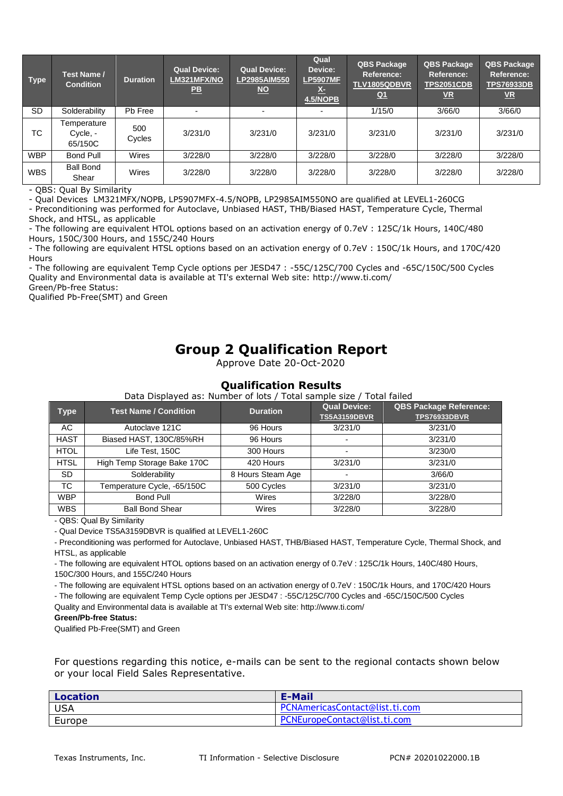| <b>Type</b> | Test Name /<br><b>Condition</b>    | <b>Duration</b> | <b>Qual Device:</b><br>LM321MFX/NO<br>$\overline{PB}$ | <b>Qual Device:</b><br>LP2985AIM550<br>$NO$ | Qual<br>Device:<br><b>LP5907MF</b><br>ŽТ<br>4.5/NOPB | <b>QBS Package</b><br>Reference:<br>TLV1805QDBVR<br><u>Q1</u> | <b>QBS Package</b><br>Reference:<br><b>TPS2051CDB</b><br><u>VR</u> | <b>QBS Package</b><br>Reference:<br><b>TPS76933DB</b><br>$VR$ |
|-------------|------------------------------------|-----------------|-------------------------------------------------------|---------------------------------------------|------------------------------------------------------|---------------------------------------------------------------|--------------------------------------------------------------------|---------------------------------------------------------------|
| <b>SD</b>   | Solderability                      | Pb Free         |                                                       |                                             |                                                      | 1/15/0                                                        | 3/66/0                                                             | 3/66/0                                                        |
| TC.         | Temperature<br>Cycle, -<br>65/150C | 500<br>Cycles   | 3/231/0                                               | 3/231/0                                     | 3/231/0                                              | 3/231/0                                                       | 3/231/0                                                            | 3/231/0                                                       |
| <b>WBP</b>  | <b>Bond Pull</b>                   | Wires           | 3/228/0                                               | 3/228/0                                     | 3/228/0                                              | 3/228/0                                                       | 3/228/0                                                            | 3/228/0                                                       |
| <b>WBS</b>  | <b>Ball Bond</b><br>Shear          | Wires           | 3/228/0                                               | 3/228/0                                     | 3/228/0                                              | 3/228/0                                                       | 3/228/0                                                            | 3/228/0                                                       |

- QBS: Qual By Similarity

- Qual Devices LM321MFX/NOPB, LP5907MFX-4.5/NOPB, LP2985AIM550NO are qualified at LEVEL1-260CG

- Preconditioning was performed for Autoclave, Unbiased HAST, THB/Biased HAST, Temperature Cycle, Thermal Shock, and HTSL, as applicable

- The following are equivalent HTOL options based on an activation energy of 0.7eV : 125C/1k Hours, 140C/480 Hours, 150C/300 Hours, and 155C/240 Hours

- The following are equivalent HTSL options based on an activation energy of 0.7eV : 150C/1k Hours, and 170C/420 **Hours** 

- The following are equivalent Temp Cycle options per JESD47 : -55C/125C/700 Cycles and -65C/150C/500 Cycles Quality and Environmental data is available at TI's external Web site: http://www.ti.com/

Green/Pb-free Status:

Qualified Pb-Free(SMT) and Green

# **Group 2 Qualification Report**

Approve Date 20-Oct-2020

#### **Qualification Results**<br>Pata Pisalayed as: Number of late / Total cample of Data Displayed as: Number of lots / Total sample size / Total failed

| Type        | <b>Test Name / Condition</b> | <b>Duration</b>   | Qual Device:<br><b>TS5A3159DBVR</b> | <b>QBS Package Reference:</b><br><b>TPS76933DBVR</b> |
|-------------|------------------------------|-------------------|-------------------------------------|------------------------------------------------------|
| AC          | Autoclave 121C               | 96 Hours          | 3/231/0                             | 3/231/0                                              |
| <b>HAST</b> | Biased HAST, 130C/85%RH      | 96 Hours          |                                     | 3/231/0                                              |
| <b>HTOL</b> | Life Test, 150C              | 300 Hours         |                                     | 3/230/0                                              |
| <b>HTSL</b> | High Temp Storage Bake 170C  | 420 Hours         | 3/231/0                             | 3/231/0                                              |
| SD.         | Solderability                | 8 Hours Steam Age |                                     | 3/66/0                                               |
| ТC          | Temperature Cycle, -65/150C  | 500 Cycles        | 3/231/0                             | 3/231/0                                              |
| <b>WBP</b>  | <b>Bond Pull</b>             | Wires             | 3/228/0                             | 3/228/0                                              |
| <b>WBS</b>  | <b>Ball Bond Shear</b>       | Wires             | 3/228/0                             | 3/228/0                                              |

- QBS: Qual By Similarity

- Qual Device TS5A3159DBVR is qualified at LEVEL1-260C

- Preconditioning was performed for Autoclave, Unbiased HAST, THB/Biased HAST, Temperature Cycle, Thermal Shock, and HTSL, as applicable

- The following are equivalent HTOL options based on an activation energy of 0.7eV : 125C/1k Hours, 140C/480 Hours, 150C/300 Hours, and 155C/240 Hours

- The following are equivalent HTSL options based on an activation energy of 0.7eV : 150C/1k Hours, and 170C/420 Hours

- The following are equivalent Temp Cycle options per JESD47 : -55C/125C/700 Cycles and -65C/150C/500 Cycles Quality and Environmental data is available at TI's external Web site: http://www.ti.com/

#### **Green/Pb-free Status:**

Qualified Pb-Free(SMT) and Green

For questions regarding this notice, e-mails can be sent to the regional contacts shown below or your local Field Sales Representative.

| <b>Location</b> | E-Mail                         |
|-----------------|--------------------------------|
| <b>USA</b>      | PCNAmericasContact@list.ti.com |
| Europe          | PCNEuropeContact@list.ti.com   |